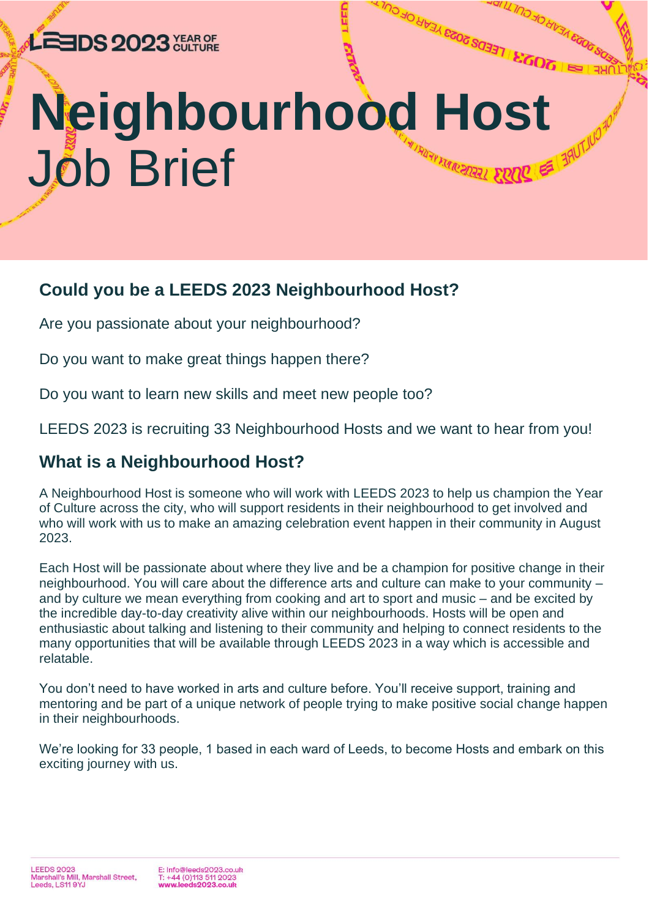## LEEDS 2023 XHARGE

# **Neighbourhood Host** Job Brief**HUAR FARRED AL**

CONTRIBLE 2023 YEAR OF CULTURE

FERENTIA CEONINIP

## **Could you be a LEEDS 2023 Neighbourhood Host?**

Are you passionate about your neighbourhood?

Do you want to make great things happen there?

Do you want to learn new skills and meet new people too?

LEEDS 2023 is recruiting 33 Neighbourhood Hosts and we want to hear from you!

### **What is a Neighbourhood Host?**

A Neighbourhood Host is someone who will work with LEEDS 2023 to help us champion the Year of Culture across the city, who will support residents in their neighbourhood to get involved and who will work with us to make an amazing celebration event happen in their community in August 2023.

Each Host will be passionate about where they live and be a champion for positive change in their neighbourhood. You will care about the difference arts and culture can make to your community – and by culture we mean everything from cooking and art to sport and music – and be excited by the incredible day-to-day creativity alive within our neighbourhoods. Hosts will be open and enthusiastic about talking and listening to their community and helping to connect residents to the many opportunities that will be available through LEEDS 2023 in a way which is accessible and relatable.

You don't need to have worked in arts and culture before. You'll receive support, training and mentoring and be part of a unique network of people trying to make positive social change happen in their neighbourhoods.

We're looking for 33 people, 1 based in each ward of Leeds, to become Hosts and embark on this exciting journey with us.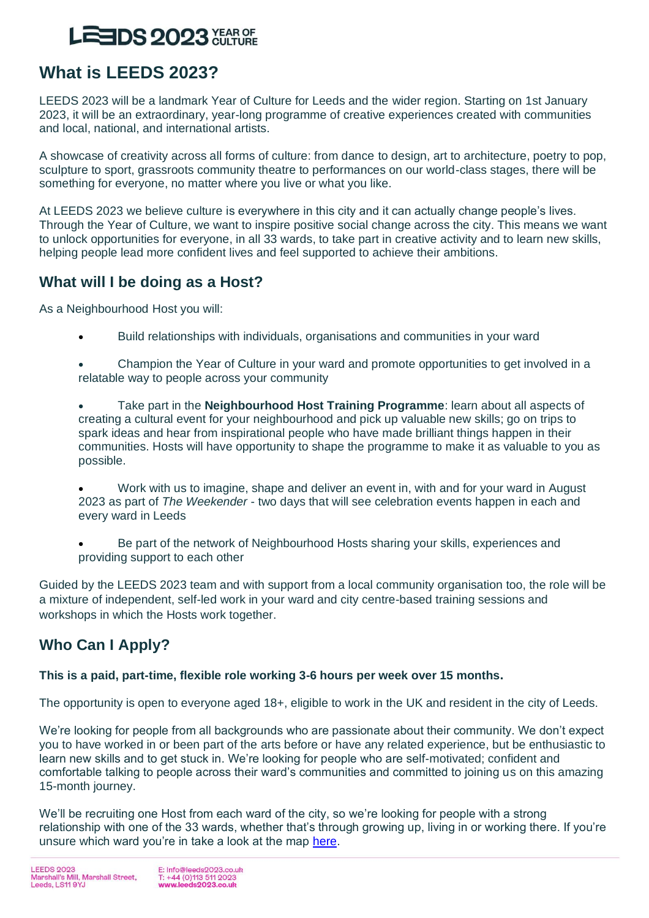## **EEDS 2023** YEAR OF

## **What is LEEDS 2023?**

LEEDS 2023 will be a landmark Year of Culture for Leeds and the wider region. Starting on 1st January 2023, it will be an extraordinary, year-long programme of creative experiences created with communities and local, national, and international artists.

A showcase of creativity across all forms of culture: from dance to design, art to architecture, poetry to pop, sculpture to sport, grassroots community theatre to performances on our world-class stages, there will be something for everyone, no matter where you live or what you like.

At LEEDS 2023 we believe culture is everywhere in this city and it can actually change people's lives. Through the Year of Culture, we want to inspire positive social change across the city. This means we want to unlock opportunities for everyone, in all 33 wards, to take part in creative activity and to learn new skills, helping people lead more confident lives and feel supported to achieve their ambitions.

#### **What will I be doing as a Host?**

As a Neighbourhood Host you will:

- Build relationships with individuals, organisations and communities in your ward
- Champion the Year of Culture in your ward and promote opportunities to get involved in a relatable way to people across your community
- Take part in the **Neighbourhood Host Training Programme**: learn about all aspects of creating a cultural event for your neighbourhood and pick up valuable new skills; go on trips to spark ideas and hear from inspirational people who have made brilliant things happen in their communities. Hosts will have opportunity to shape the programme to make it as valuable to you as possible.
- Work with us to imagine, shape and deliver an event in, with and for your ward in August 2023 as part of *The Weekender* - two days that will see celebration events happen in each and every ward in Leeds
- Be part of the network of Neighbourhood Hosts sharing your skills, experiences and providing support to each other

Guided by the LEEDS 2023 team and with support from a local community organisation too, the role will be a mixture of independent, self-led work in your ward and city centre-based training sessions and workshops in which the Hosts work together.

### **Who Can I Apply?**

#### **This is a paid, part-time, flexible role working 3-6 hours per week over 15 months.**

The opportunity is open to everyone aged 18+, eligible to work in the UK and resident in the city of Leeds.

We're looking for people from all backgrounds who are passionate about their community. We don't expect you to have worked in or been part of the arts before or have any related experience, but be enthusiastic to learn new skills and to get stuck in. We're looking for people who are self-motivated; confident and comfortable talking to people across their ward's communities and committed to joining us on this amazing 15-month journey.

We'll be recruiting one Host from each ward of the city, so we're looking for people with a strong relationship with one of the 33 wards, whether that's through growing up, living in or working there. If you're unsure which ward you're in take a look at the map [here.](https://leedscc.maps.arcgis.com/apps/webappviewer/index.html?id=d4a017af12b64e62a245faa8414e56e4)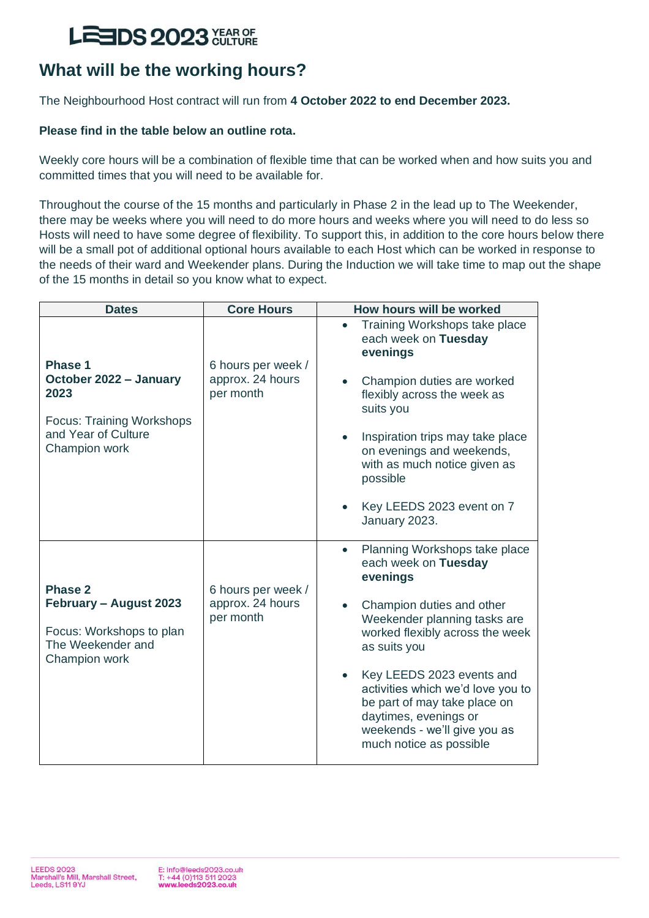## **LEEDS 2023 XHARGE**

## **What will be the working hours?**

The Neighbourhood Host contract will run from **4 October 2022 to end December 2023.** 

#### **Please find in the table below an outline rota.**

Weekly core hours will be a combination of flexible time that can be worked when and how suits you and committed times that you will need to be available for.

Throughout the course of the 15 months and particularly in Phase 2 in the lead up to The Weekender, there may be weeks where you will need to do more hours and weeks where you will need to do less so Hosts will need to have some degree of flexibility. To support this, in addition to the core hours below there will be a small pot of additional optional hours available to each Host which can be worked in response to the needs of their ward and Weekender plans. During the Induction we will take time to map out the shape of the 15 months in detail so you know what to expect.

| <b>Dates</b>                                                                                                          | <b>Core Hours</b>                                   | How hours will be worked                                                                                                                                                                                                                                                                                                                                                                          |
|-----------------------------------------------------------------------------------------------------------------------|-----------------------------------------------------|---------------------------------------------------------------------------------------------------------------------------------------------------------------------------------------------------------------------------------------------------------------------------------------------------------------------------------------------------------------------------------------------------|
| Phase 1<br>October 2022 - January<br>2023<br><b>Focus: Training Workshops</b><br>and Year of Culture<br>Champion work | 6 hours per week /<br>approx. 24 hours<br>per month | Training Workshops take place<br>$\bullet$<br>each week on Tuesday<br>evenings<br>Champion duties are worked<br>$\bullet$<br>flexibly across the week as<br>suits you<br>Inspiration trips may take place<br>$\bullet$<br>on evenings and weekends,<br>with as much notice given as<br>possible<br>Key LEEDS 2023 event on 7<br>January 2023.                                                     |
| Phase 2<br>February - August 2023<br>Focus: Workshops to plan<br>The Weekender and<br>Champion work                   | 6 hours per week /<br>approx. 24 hours<br>per month | Planning Workshops take place<br>$\bullet$<br>each week on Tuesday<br>evenings<br>Champion duties and other<br>Weekender planning tasks are<br>worked flexibly across the week<br>as suits you<br>Key LEEDS 2023 events and<br>$\bullet$<br>activities which we'd love you to<br>be part of may take place on<br>daytimes, evenings or<br>weekends - we'll give you as<br>much notice as possible |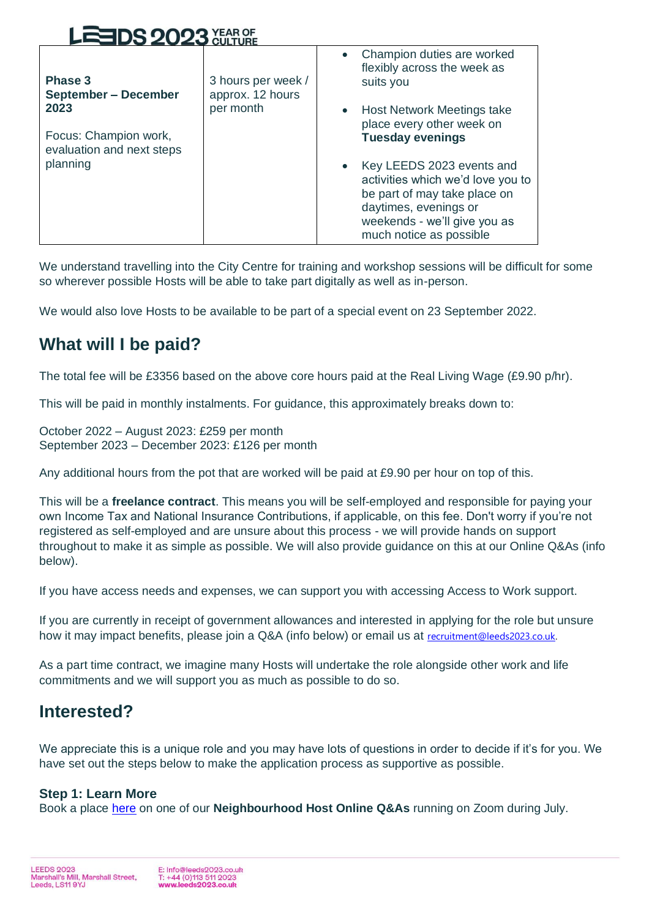| LEEDS 2023 XEARGE                                                                                                |                                                     |                                                                                                                                                                                                                                                                                                                                                                              |  |
|------------------------------------------------------------------------------------------------------------------|-----------------------------------------------------|------------------------------------------------------------------------------------------------------------------------------------------------------------------------------------------------------------------------------------------------------------------------------------------------------------------------------------------------------------------------------|--|
| Phase 3<br><b>September - December</b><br>2023<br>Focus: Champion work,<br>evaluation and next steps<br>planning | 3 hours per week /<br>approx. 12 hours<br>per month | Champion duties are worked<br>flexibly across the week as<br>suits you<br>Host Network Meetings take<br>$\bullet$<br>place every other week on<br><b>Tuesday evenings</b><br>Key LEEDS 2023 events and<br>$\bullet$<br>activities which we'd love you to<br>be part of may take place on<br>daytimes, evenings or<br>weekends - we'll give you as<br>much notice as possible |  |

We understand travelling into the City Centre for training and workshop sessions will be difficult for some so wherever possible Hosts will be able to take part digitally as well as in-person.

We would also love Hosts to be available to be part of a special event on 23 September 2022.

### **What will I be paid?**

The total fee will be £3356 based on the above core hours paid at the Real Living Wage (£9.90 p/hr).

This will be paid in monthly instalments. For guidance, this approximately breaks down to:

October 2022 – August 2023: £259 per month September 2023 – December 2023: £126 per month

Any additional hours from the pot that are worked will be paid at £9.90 per hour on top of this.

This will be a **freelance contract**. This means you will be self-employed and responsible for paying your own Income Tax and National Insurance Contributions, if applicable, on this fee. Don't worry if you're not registered as self-employed and are unsure about this process - we will provide hands on support throughout to make it as simple as possible. We will also provide guidance on this at our Online Q&As (info below).

If you have access needs and expenses, we can support you with accessing Access to Work support.

If you are currently in receipt of government allowances and interested in applying for the role but unsure how it may impact benefits, please join a Q&A (info below) or email us at recruitment@leeds2023.co.uk.

As a part time contract, we imagine many Hosts will undertake the role alongside other work and life commitments and we will support you as much as possible to do so.

### **Interested?**

We appreciate this is a unique role and you may have lots of questions in order to decide if it's for you. We have set out the steps below to make the application process as supportive as possible.

#### **Step 1: Learn More**

Book a place [here](https://www.eventbrite.co.uk/e/leeds-2023-neighbourhood-host-applicant-surgeries-tickets-360441569437) on one of our **Neighbourhood Host Online Q&As** running on Zoom during July.